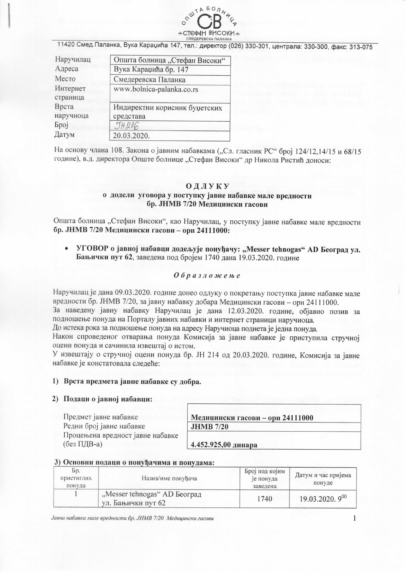

11420 Смед. Паланка, Вука Караџића 147, тел.: директор (026) 330-301, централа: 330-300, факс: 313-075

| Наручилац            | Општа болница "Стефан Високи"              |
|----------------------|--------------------------------------------|
| Адреса               | Вука Караџића бр. 147                      |
| Место                | Смедеревска Паланка                        |
| Интернет<br>страница | www.bolnica-palanka.co.rs                  |
| Врста<br>наручиоца   | Индиректни корисник буџетских<br>средстава |
| <b>Gpoj</b>          | JH216                                      |
| Датум                | 20.03.2020.                                |

На основу члана 108. Закона о јавним набавкама ("Сл. гласник РС" број 124/12,14/15 и 68/15 године), в.д. директора Опште болнице "Стефан Високи" др Никола Ристић доноси:

# ОДЛУКУ о додели уговора у поступку јавне набавке мале вредности бр. ЈНМВ 7/20 Медицински гасови

Општа болница "Стефан Високи", као Наручилац, у поступку јавне набавке мале вредности бр. ЈНМВ 7/20 Медицински гасови - орн 24111000:

УГОВОР о јавној набавци додељује понуђачу: "Messer tehnogas" AD Београд ул. Бањички пут 62, заведена под бројем 1740 дана 19.03.2020. године

## Образложење

Наручилац је дана 09.03.2020. године донео одлуку о покретању поступка јавне набавке мале вредности бр. ЈНМВ 7/20, за јавну набавку добара Медицински гасови - орн 24111000.

За наведену јавну набавку Наручилац је дана 12.03.2020. године, објавио позив за подношење понуда на Порталу јавних набавки и интернет страници наручиоца.

До истека рока за подношење понуда на адресу Наручиоца поднета је једна понуда.

Након спроведеног отварања понуда Комисија за јавне набавке је приступила стручној оцени понуда и сачинила извештај о истом.

У извештају о стручној оцени понуда бр. ЈН 214 од 20.03.2020. године, Комисија за јавне набавке је констатовала следеће:

## 1) Врста предмета јавне набавке су добра.

#### 2) Подаци о јавној набавци:

Предмет јавне набавке Редни број јавне набавке Процењена вредност јавне набавке (без ПДВ-а)

Медицински гасови - орн 24111000 **JHMB 7/20** 

4.452.925,00 динара

# 3) Основни подаци о понуђачима и понудама:

| Бp.<br>пристиглих<br>понуда | Назив/име понуђача                                 | Број под којим<br>је понуда<br>заведена | Датум и час пријема<br>понуде |
|-----------------------------|----------------------------------------------------|-----------------------------------------|-------------------------------|
|                             | "Messer tehnogas" AD Београд<br>ул. Бањички пут 62 | 1740                                    | $19.03.2020.9^{00}$           |

Јавна набавка мале вредности бр. ЈНМВ 7/20 Медицински гасови